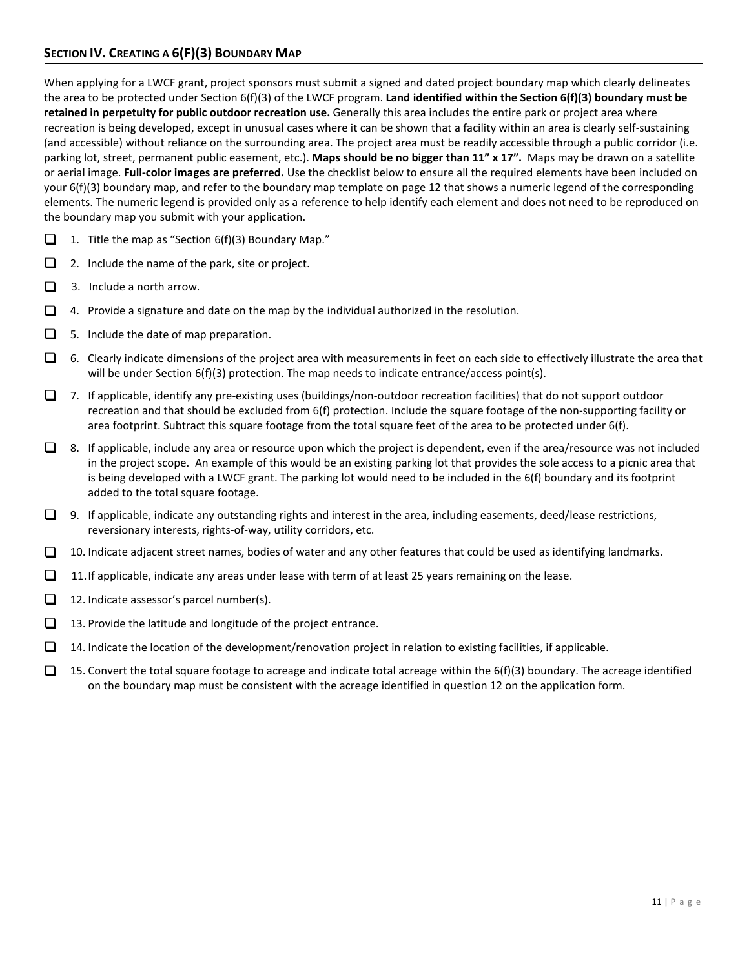When applying for a LWCF grant, project sponsors must submit a signed and dated project boundary map which clearly delineates the area to be protected under Section 6(f)(3) of the LWCF program. **Land identified within the Section 6(f)(3) boundary must be retained in perpetuity for public outdoor recreation use.** Generally this area includes the entire park or project area where recreation is being developed, except in unusual cases where it can be shown that a facility within an area is clearly self-sustaining (and accessible) without reliance on the surrounding area. The project area must be readily accessible through a public corridor (i.e. parking lot, street, permanent public easement, etc.). **Maps should be no bigger than 11" x 17".** Maps may be drawn on a satellite or aerial image. **Full-color images are preferred.** Use the checklist below to ensure all the required elements have been included on your 6(f)(3) boundary map, and refer to the boundary map template on page 12 that shows a numeric legend of the corresponding elements. The numeric legend is provided only as a reference to help identify each element and does not need to be reproduced on the boundary map you submit with your application.

- 1. Title the map as "Section 6(f)(3) Boundary Map."
- 2. Include the name of the park, site or project.
- $\Box$  3. Include a north arrow.
- $\Box$  4. Provide a signature and date on the map by the individual authorized in the resolution.
- $\Box$  5. Include the date of map preparation.
- $\Box$  6. Clearly indicate dimensions of the project area with measurements in feet on each side to effectively illustrate the area that will be under Section 6(f)(3) protection. The map needs to indicate entrance/access point(s).
- 7. If applicable, identify any pre-existing uses (buildings/non-outdoor recreation facilities) that do not support outdoor recreation and that should be excluded from 6(f) protection. Include the square footage of the non-supporting facility or area footprint. Subtract this square footage from the total square feet of the area to be protected under 6(f).
- $\Box$  8. If applicable, include any area or resource upon which the project is dependent, even if the area/resource was not included in the project scope. An example of this would be an existing parking lot that provides the sole access to a picnic area that is being developed with a LWCF grant. The parking lot would need to be included in the 6(f) boundary and its footprint added to the total square footage.
- $\Box$  9. If applicable, indicate any outstanding rights and interest in the area, including easements, deed/lease restrictions, reversionary interests, rights-of-way, utility corridors, etc.
- $\Box$  10. Indicate adjacent street names, bodies of water and any other features that could be used as identifying landmarks.
- $\Box$  11. If applicable, indicate any areas under lease with term of at least 25 years remaining on the lease.
- 12. Indicate assessor's parcel number(s).
- $\Box$  13. Provide the latitude and longitude of the project entrance.
- $\Box$  14. Indicate the location of the development/renovation project in relation to existing facilities, if applicable.
- $\Box$  15. Convert the total square footage to acreage and indicate total acreage within the 6(f)(3) boundary. The acreage identified on the boundary map must be consistent with the acreage identified in question 12 on the application form.